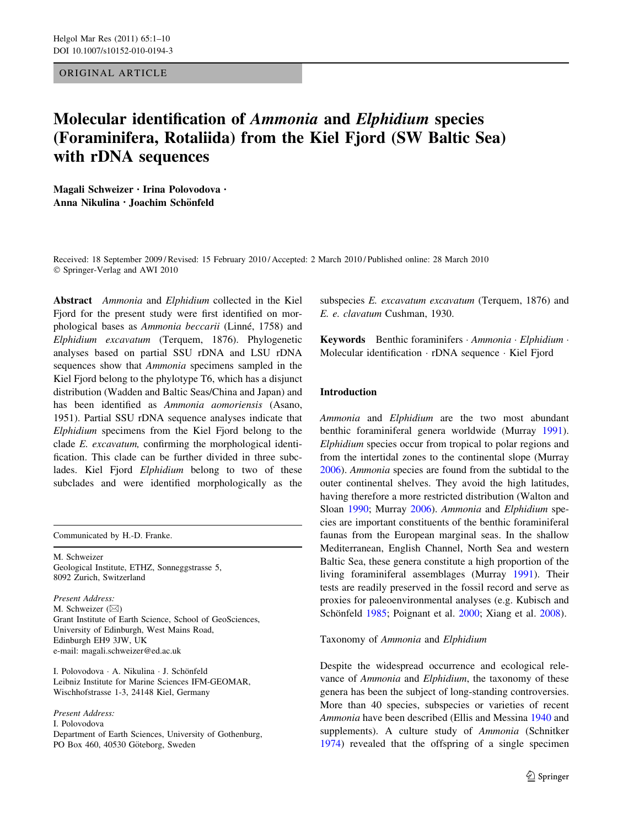## ORIGINAL ARTICLE

# Molecular identification of Ammonia and Elphidium species (Foraminifera, Rotaliida) from the Kiel Fjord (SW Baltic Sea) with rDNA sequences

Magali Schweizer • Irina Polovodova • Anna Nikulina • Joachim Schönfeld

Received: 18 September 2009 / Revised: 15 February 2010 / Accepted: 2 March 2010 / Published online: 28 March 2010 © Springer-Verlag and AWI 2010

Abstract Ammonia and Elphidium collected in the Kiel Fjord for the present study were first identified on morphological bases as Ammonia beccarii (Linné, 1758) and Elphidium excavatum (Terquem, 1876). Phylogenetic analyses based on partial SSU rDNA and LSU rDNA sequences show that Ammonia specimens sampled in the Kiel Fjord belong to the phylotype T6, which has a disjunct distribution (Wadden and Baltic Seas/China and Japan) and has been identified as Ammonia aomoriensis (Asano, 1951). Partial SSU rDNA sequence analyses indicate that Elphidium specimens from the Kiel Fjord belong to the clade E. excavatum, confirming the morphological identification. This clade can be further divided in three subclades. Kiel Fjord Elphidium belong to two of these subclades and were identified morphologically as the

Communicated by H.-D. Franke.

M. Schweizer Geological Institute, ETHZ, Sonneggstrasse 5, 8092 Zurich, Switzerland

Present Address: M. Schweizer  $(\boxtimes)$ Grant Institute of Earth Science, School of GeoSciences, University of Edinburgh, West Mains Road, Edinburgh EH9 3JW, UK e-mail: magali.schweizer@ed.ac.uk

I. Polovodova · A. Nikulina · J. Schönfeld Leibniz Institute for Marine Sciences IFM-GEOMAR, Wischhofstrasse 1-3, 24148 Kiel, Germany

Present Address:

I. Polovodova

Department of Earth Sciences, University of Gothenburg, PO Box 460, 40530 Göteborg, Sweden

subspecies E. excavatum excavatum (Terquem, 1876) and E. e. clavatum Cushman, 1930.

Keywords Benthic foraminifers · Ammonia · Elphidium · Molecular identification - rDNA sequence - Kiel Fjord

### Introduction

Ammonia and Elphidium are the two most abundant benthic foraminiferal genera worldwide (Murray [1991](#page-8-0)). Elphidium species occur from tropical to polar regions and from the intertidal zones to the continental slope (Murray [2006](#page-9-0)). Ammonia species are found from the subtidal to the outer continental shelves. They avoid the high latitudes, having therefore a more restricted distribution (Walton and Sloan [1990;](#page-9-0) Murray [2006\)](#page-9-0). Ammonia and Elphidium species are important constituents of the benthic foraminiferal faunas from the European marginal seas. In the shallow Mediterranean, English Channel, North Sea and western Baltic Sea, these genera constitute a high proportion of the living foraminiferal assemblages (Murray [1991\)](#page-8-0). Their tests are readily preserved in the fossil record and serve as proxies for paleoenvironmental analyses (e.g. Kubisch and Schönfeld [1985;](#page-8-0) Poignant et al. [2000;](#page-9-0) Xiang et al. [2008](#page-9-0)).

Taxonomy of Ammonia and Elphidium

Despite the widespread occurrence and ecological relevance of Ammonia and Elphidium, the taxonomy of these genera has been the subject of long-standing controversies. More than 40 species, subspecies or varieties of recent Ammonia have been described (Ellis and Messina [1940](#page-8-0) and supplements). A culture study of Ammonia (Schnitker [1974](#page-9-0)) revealed that the offspring of a single specimen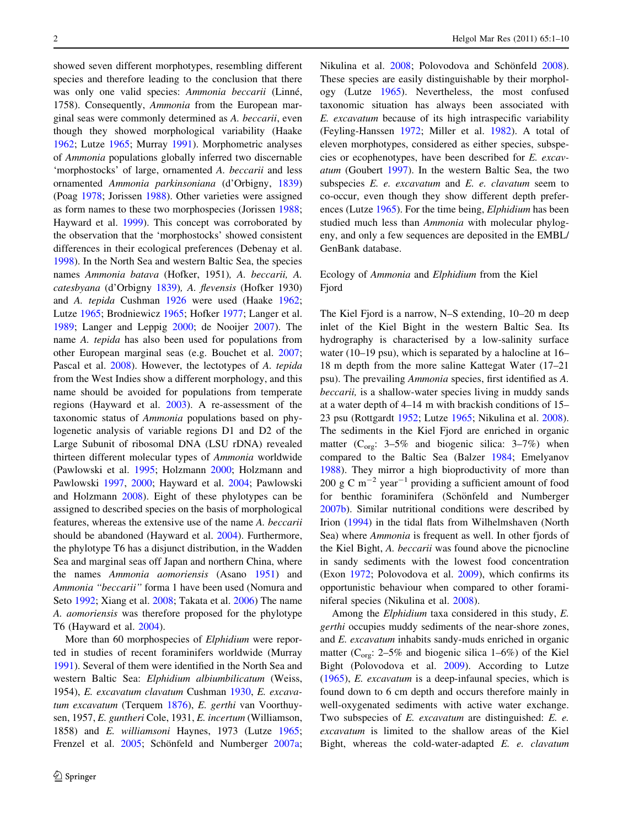showed seven different morphotypes, resembling different species and therefore leading to the conclusion that there was only one valid species: Ammonia beccarii (Linné, 1758). Consequently, Ammonia from the European marginal seas were commonly determined as A. beccarii, even though they showed morphological variability (Haake [1962;](#page-8-0) Lutze [1965](#page-8-0); Murray [1991](#page-8-0)). Morphometric analyses of Ammonia populations globally inferred two discernable 'morphostocks' of large, ornamented A. beccarii and less ornamented Ammonia parkinsoniana (d'Orbigny, [1839\)](#page-8-0) (Poag [1978;](#page-9-0) Jorissen [1988](#page-8-0)). Other varieties were assigned as form names to these two morphospecies (Jorissen [1988](#page-8-0); Hayward et al. [1999](#page-8-0)). This concept was corroborated by the observation that the 'morphostocks' showed consistent differences in their ecological preferences (Debenay et al. [1998\)](#page-8-0). In the North Sea and western Baltic Sea, the species names Ammonia batava (Hofker, 1951), A. beccarii, A. catesbyana (d'Orbigny [1839](#page-8-0)), A. flevensis (Hofker 1930) and A. tepida Cushman [1926](#page-8-0) were used (Haake [1962](#page-8-0); Lutze [1965;](#page-8-0) Brodniewicz [1965](#page-8-0); Hofker [1977;](#page-8-0) Langer et al. [1989;](#page-8-0) Langer and Leppig [2000;](#page-8-0) de Nooijer [2007\)](#page-8-0). The name A. tepida has also been used for populations from other European marginal seas (e.g. Bouchet et al. [2007](#page-8-0); Pascal et al. [2008\)](#page-9-0). However, the lectotypes of A. tepida from the West Indies show a different morphology, and this name should be avoided for populations from temperate regions (Hayward et al. [2003\)](#page-8-0). A re-assessment of the taxonomic status of Ammonia populations based on phylogenetic analysis of variable regions D1 and D2 of the Large Subunit of ribosomal DNA (LSU rDNA) revealed thirteen different molecular types of Ammonia worldwide (Pawlowski et al. [1995](#page-9-0); Holzmann [2000](#page-8-0); Holzmann and Pawlowski [1997,](#page-8-0) [2000](#page-8-0); Hayward et al. [2004](#page-8-0); Pawlowski and Holzmann [2008\)](#page-9-0). Eight of these phylotypes can be assigned to described species on the basis of morphological features, whereas the extensive use of the name A. beccarii should be abandoned (Hayward et al. [2004](#page-8-0)). Furthermore, the phylotype T6 has a disjunct distribution, in the Wadden Sea and marginal seas off Japan and northern China, where the names Ammonia aomoriensis (Asano [1951\)](#page-8-0) and Ammonia ''beccarii'' forma 1 have been used (Nomura and Seto [1992](#page-9-0); Xiang et al. [2008;](#page-9-0) Takata et al. [2006](#page-9-0)) The name A. aomoriensis was therefore proposed for the phylotype T6 (Hayward et al. [2004](#page-8-0)).

More than 60 morphospecies of *Elphidium* were reported in studies of recent foraminifers worldwide (Murray [1991\)](#page-8-0). Several of them were identified in the North Sea and western Baltic Sea: Elphidium albiumbilicatum (Weiss, 1954), E. excavatum clavatum Cushman [1930,](#page-8-0) E. excavatum excavatum (Terquem [1876\)](#page-9-0), E. gerthi van Voorthuysen, 1957, E. guntheri Cole, 1931, E. incertum (Williamson, 1858) and E. williamsoni Haynes, 1973 (Lutze [1965](#page-8-0); Frenzel et al. [2005](#page-8-0); Schönfeld and Numberger [2007a](#page-9-0); Nikulina et al. [2008](#page-9-0); Polovodova and Schönfeld 2008). These species are easily distinguishable by their morphology (Lutze [1965\)](#page-8-0). Nevertheless, the most confused taxonomic situation has always been associated with E. excavatum because of its high intraspecific variability (Feyling-Hanssen [1972;](#page-8-0) Miller et al. [1982\)](#page-8-0). A total of eleven morphotypes, considered as either species, subspecies or ecophenotypes, have been described for E. excavatum (Goubert [1997](#page-8-0)). In the western Baltic Sea, the two subspecies  $E$ . *e. excavatum* and  $E$ . *e. clavatum* seem to co-occur, even though they show different depth preferences (Lutze [1965](#page-8-0)). For the time being, Elphidium has been studied much less than Ammonia with molecular phylogeny, and only a few sequences are deposited in the EMBL/ GenBank database.

## Ecology of Ammonia and Elphidium from the Kiel Fiord

The Kiel Fjord is a narrow, N–S extending, 10–20 m deep inlet of the Kiel Bight in the western Baltic Sea. Its hydrography is characterised by a low-salinity surface water (10–19 psu), which is separated by a halocline at 16– 18 m depth from the more saline Kattegat Water (17–21 psu). The prevailing Ammonia species, first identified as A. beccarii, is a shallow-water species living in muddy sands at a water depth of 4–14 m with brackish conditions of 15– 23 psu (Rottgardt [1952](#page-9-0); Lutze [1965;](#page-8-0) Nikulina et al. [2008](#page-9-0)). The sediments in the Kiel Fjord are enriched in organic matter ( $C_{org}$ : 3–5% and biogenic silica: 3–7%) when compared to the Baltic Sea (Balzer [1984;](#page-8-0) Emelyanov [1988](#page-8-0)). They mirror a high bioproductivity of more than 200 g C  $m^{-2}$  year<sup>-1</sup> providing a sufficient amount of food for benthic foraminifera (Schönfeld and Numberger [2007b](#page-9-0)). Similar nutritional conditions were described by Irion [\(1994](#page-8-0)) in the tidal flats from Wilhelmshaven (North Sea) where Ammonia is frequent as well. In other fjords of the Kiel Bight, A. beccarii was found above the picnocline in sandy sediments with the lowest food concentration (Exon [1972;](#page-8-0) Polovodova et al. [2009\)](#page-9-0), which confirms its opportunistic behaviour when compared to other foraminiferal species (Nikulina et al. [2008](#page-9-0)).

Among the Elphidium taxa considered in this study, E. gerthi occupies muddy sediments of the near-shore zones, and E. excavatum inhabits sandy-muds enriched in organic matter ( $C_{\text{or}}$ : 2–5% and biogenic silica 1–6%) of the Kiel Bight (Polovodova et al. [2009\)](#page-9-0). According to Lutze [\(1965](#page-8-0)), E. excavatum is a deep-infaunal species, which is found down to 6 cm depth and occurs therefore mainly in well-oxygenated sediments with active water exchange. Two subspecies of E. excavatum are distinguished: E. e. excavatum is limited to the shallow areas of the Kiel Bight, whereas the cold-water-adapted E. e. clavatum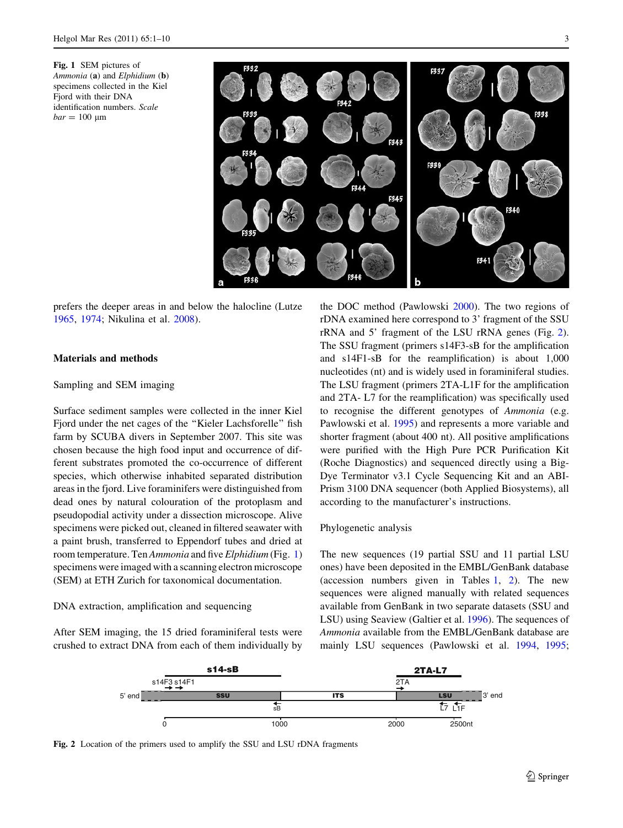<span id="page-2-0"></span>Fig. 1 SEM pictures of Ammonia (a) and  $Elphidium$  (b) specimens collected in the Kiel Fjord with their DNA identification numbers. Scale  $bar = 100 \text{ µm}$ 



prefers the deeper areas in and below the halocline (Lutze [1965,](#page-8-0) [1974](#page-8-0); Nikulina et al. [2008](#page-9-0)).

#### Materials and methods

## Sampling and SEM imaging

Surface sediment samples were collected in the inner Kiel Fjord under the net cages of the ''Kieler Lachsforelle'' fish farm by SCUBA divers in September 2007. This site was chosen because the high food input and occurrence of different substrates promoted the co-occurrence of different species, which otherwise inhabited separated distribution areas in the fjord. Live foraminifers were distinguished from dead ones by natural colouration of the protoplasm and pseudopodial activity under a dissection microscope. Alive specimens were picked out, cleaned in filtered seawater with a paint brush, transferred to Eppendorf tubes and dried at room temperature. Ten Ammonia and five Elphidium (Fig. 1) specimens were imaged with a scanning electron microscope (SEM) at ETH Zurich for taxonomical documentation.

#### DNA extraction, amplification and sequencing

After SEM imaging, the 15 dried foraminiferal tests were crushed to extract DNA from each of them individually by

the DOC method (Pawlowski [2000](#page-9-0)). The two regions of rDNA examined here correspond to 3' fragment of the SSU rRNA and 5' fragment of the LSU rRNA genes (Fig. 2). The SSU fragment (primers s14F3-sB for the amplification and s14F1-sB for the reamplification) is about 1,000 nucleotides (nt) and is widely used in foraminiferal studies. The LSU fragment (primers 2TA-L1F for the amplification and 2TA- L7 for the reamplification) was specifically used to recognise the different genotypes of Ammonia (e.g. Pawlowski et al. [1995](#page-9-0)) and represents a more variable and shorter fragment (about 400 nt). All positive amplifications were purified with the High Pure PCR Purification Kit (Roche Diagnostics) and sequenced directly using a Big-Dye Terminator v3.1 Cycle Sequencing Kit and an ABI-Prism 3100 DNA sequencer (both Applied Biosystems), all according to the manufacturer's instructions.

#### Phylogenetic analysis

The new sequences (19 partial SSU and 11 partial LSU ones) have been deposited in the EMBL/GenBank database (accession numbers given in Tables [1,](#page-3-0) [2\)](#page-3-0). The new sequences were aligned manually with related sequences available from GenBank in two separate datasets (SSU and LSU) using Seaview (Galtier et al. [1996\)](#page-8-0). The sequences of Ammonia available from the EMBL/GenBank database are mainly LSU sequences (Pawlowski et al. [1994](#page-9-0), [1995](#page-9-0);



Fig. 2 Location of the primers used to amplify the SSU and LSU rDNA fragments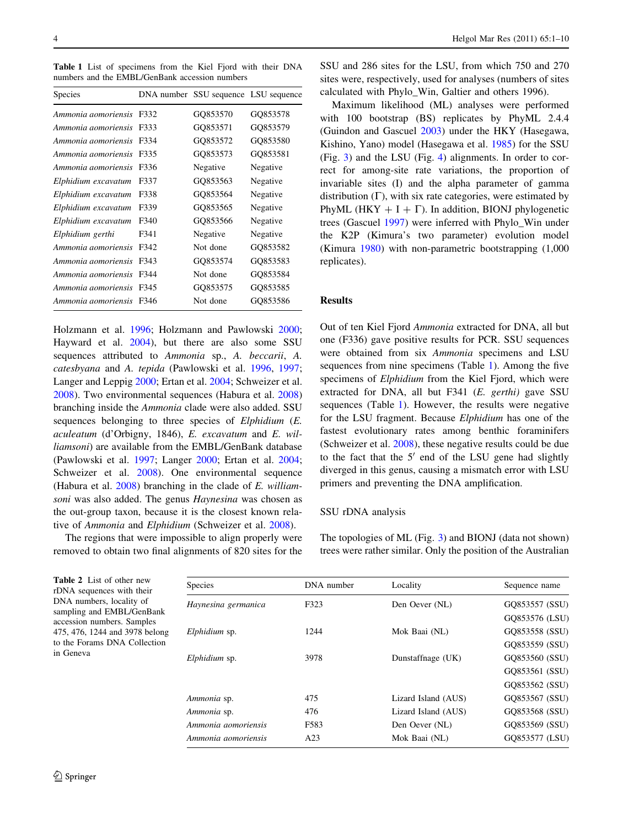<span id="page-3-0"></span>Table 1 List of specimens from the Kiel Fjord with their DNA numbers and the EMBL/GenBank accession numbers

| <b>Species</b>      |      | DNA number SSU sequence LSU sequence |          |
|---------------------|------|--------------------------------------|----------|
| Ammonia aomoriensis | F332 | GQ853570                             | GQ853578 |
| Ammonia aomoriensis | F333 | GQ853571                             | GQ853579 |
| Ammonia aomoriensis | F334 | GO853572                             | GO853580 |
| Ammonia aomoriensis | F335 | GO853573                             | GO853581 |
| Ammonia aomoriensis | F336 | Negative                             | Negative |
| Elphidium excavatum | F337 | GQ853563                             | Negative |
| Elphidium excavatum | F338 | GO853564                             | Negative |
| Elphidium excavatum | F339 | GO853565                             | Negative |
| Elphidium excavatum | F340 | GO853566                             | Negative |
| Elphidium gerthi    | F341 | Negative                             | Negative |
| Ammonia aomoriensis | F342 | Not done                             | GO853582 |
| Ammonia aomoriensis | F343 | GQ853574                             | GO853583 |
| Ammonia aomoriensis | F344 | Not done                             | GQ853584 |
| Ammonia aomoriensis | F345 | GQ853575                             | GQ853585 |
| Ammonia aomoriensis | F346 | Not done                             | GQ853586 |

Holzmann et al. [1996](#page-8-0); Holzmann and Pawlowski [2000](#page-8-0); Hayward et al. [2004](#page-8-0)), but there are also some SSU sequences attributed to Ammonia sp., A. beccarii, A. catesbyana and A. tepida (Pawlowski et al. [1996](#page-9-0), [1997](#page-9-0); Langer and Leppig [2000](#page-8-0); Ertan et al. [2004](#page-8-0); Schweizer et al. [2008\)](#page-9-0). Two environmental sequences (Habura et al. [2008\)](#page-8-0) branching inside the Ammonia clade were also added. SSU sequences belonging to three species of Elphidium (E. aculeatum (d'Orbigny, 1846), E. excavatum and E. williamsoni) are available from the EMBL/GenBank database (Pawlowski et al. [1997;](#page-9-0) Langer [2000;](#page-8-0) Ertan et al. [2004](#page-8-0); Schweizer et al. [2008\)](#page-9-0). One environmental sequence (Habura et al. [2008\)](#page-8-0) branching in the clade of E. williamsoni was also added. The genus Haynesina was chosen as the out-group taxon, because it is the closest known relative of Ammonia and Elphidium (Schweizer et al. [2008](#page-9-0)).

The regions that were impossible to align properly were removed to obtain two final alignments of 820 sites for the SSU and 286 sites for the LSU, from which 750 and 270 sites were, respectively, used for analyses (numbers of sites calculated with Phylo\_Win, Galtier and others 1996).

Maximum likelihood (ML) analyses were performed with 100 bootstrap (BS) replicates by PhyML 2.4.4 (Guindon and Gascuel [2003](#page-8-0)) under the HKY (Hasegawa, Kishino, Yano) model (Hasegawa et al. [1985\)](#page-8-0) for the SSU (Fig. [3\)](#page-4-0) and the LSU (Fig. [4\)](#page-5-0) alignments. In order to correct for among-site rate variations, the proportion of invariable sites (I) and the alpha parameter of gamma distribution  $(\Gamma)$ , with six rate categories, were estimated by PhyML (HKY  $+ I + \Gamma$ ). In addition, BIONJ phylogenetic trees (Gascuel [1997](#page-8-0)) were inferred with Phylo\_Win under the K2P (Kimura's two parameter) evolution model (Kimura [1980](#page-8-0)) with non-parametric bootstrapping (1,000 replicates).

#### Results

Out of ten Kiel Fjord Ammonia extracted for DNA, all but one (F336) gave positive results for PCR. SSU sequences were obtained from six Ammonia specimens and LSU sequences from nine specimens (Table 1). Among the five specimens of Elphidium from the Kiel Fjord, which were extracted for DNA, all but F341 (E. gerthi) gave SSU sequences (Table 1). However, the results were negative for the LSU fragment. Because Elphidium has one of the fastest evolutionary rates among benthic foraminifers (Schweizer et al. [2008](#page-9-0)), these negative results could be due to the fact that the  $5'$  end of the LSU gene had slightly diverged in this genus, causing a mismatch error with LSU primers and preventing the DNA amplification.

#### SSU rDNA analysis

The topologies of ML (Fig. [3\)](#page-4-0) and BIONJ (data not shown) trees were rather similar. Only the position of the Australian

Table 2 List of other new rDNA sequences with their DNA numbers, locality of sampling and EMBL/GenBank accession numbers. Samples 475, 476, 1244 and 3978 belong to the Forams DNA Collection in Geneva

| Species             | DNA number | Locality            | Sequence name  |
|---------------------|------------|---------------------|----------------|
| Haynesina germanica | F323       | Den Oever (NL)      | GO853557 (SSU) |
|                     |            |                     | GQ853576 (LSU) |
| Elphidium sp.       | 1244       | Mok Baai (NL)       | GQ853558 (SSU) |
|                     |            |                     | GO853559 (SSU) |
| Elphidium sp.       | 3978       | Dunstaffnage (UK)   | GO853560 (SSU) |
|                     |            |                     | GQ853561 (SSU) |
|                     |            |                     | GQ853562 (SSU) |
| Ammonia sp.         | 475        | Lizard Island (AUS) | GO853567 (SSU) |
| Ammonia sp.         | 476        | Lizard Island (AUS) | GQ853568 (SSU) |
| Ammonia aomoriensis | F583       | Den Oever (NL)      | GO853569 (SSU) |
| Ammonia aomoriensis | A23        | Mok Baai (NL)       | GO853577 (LSU) |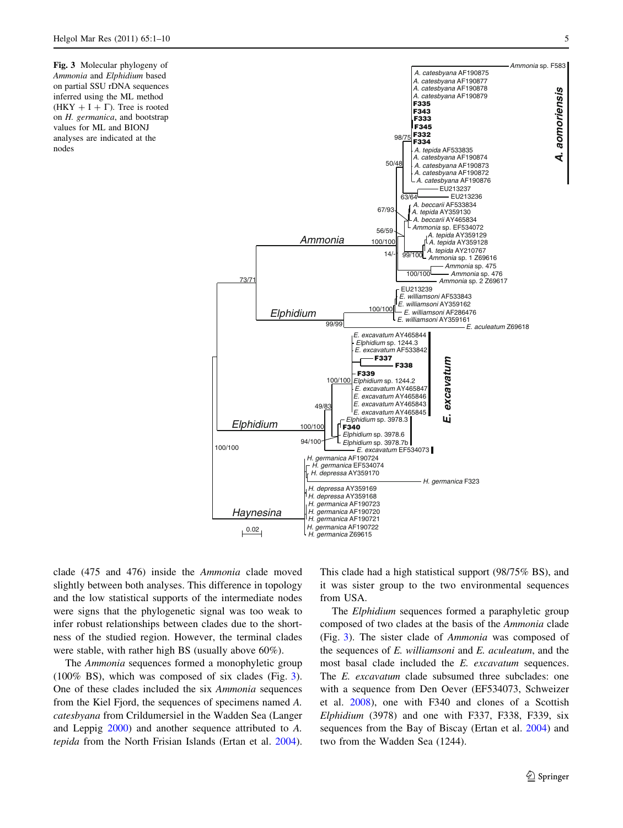<span id="page-4-0"></span>Fig. 3 Molecular phylogeny of Ammonia and Elphidium based on partial SSU rDNA sequences inferred using the ML method (HKY + I +  $\Gamma$ ). Tree is rooted on H. germanica, and bootstrap values for ML and BIONJ analyses are indicated at the nodes



clade (475 and 476) inside the Ammonia clade moved slightly between both analyses. This difference in topology and the low statistical supports of the intermediate nodes were signs that the phylogenetic signal was too weak to infer robust relationships between clades due to the shortness of the studied region. However, the terminal clades were stable, with rather high BS (usually above 60%).

The Ammonia sequences formed a monophyletic group (100% BS), which was composed of six clades (Fig. 3). One of these clades included the six Ammonia sequences from the Kiel Fjord, the sequences of specimens named A. catesbyana from Crildumersiel in the Wadden Sea (Langer and Leppig [2000\)](#page-8-0) and another sequence attributed to A. tepida from the North Frisian Islands (Ertan et al. [2004](#page-8-0)).

This clade had a high statistical support (98/75% BS), and it was sister group to the two environmental sequences from USA.

The *Elphidium* sequences formed a paraphyletic group composed of two clades at the basis of the Ammonia clade (Fig. 3). The sister clade of Ammonia was composed of the sequences of  $E$ . williamsoni and  $E$ . aculeatum, and the most basal clade included the E. excavatum sequences. The E. excavatum clade subsumed three subclades: one with a sequence from Den Oever (EF534073, Schweizer et al. [2008\)](#page-9-0), one with F340 and clones of a Scottish Elphidium (3978) and one with F337, F338, F339, six sequences from the Bay of Biscay (Ertan et al. [2004](#page-8-0)) and two from the Wadden Sea (1244).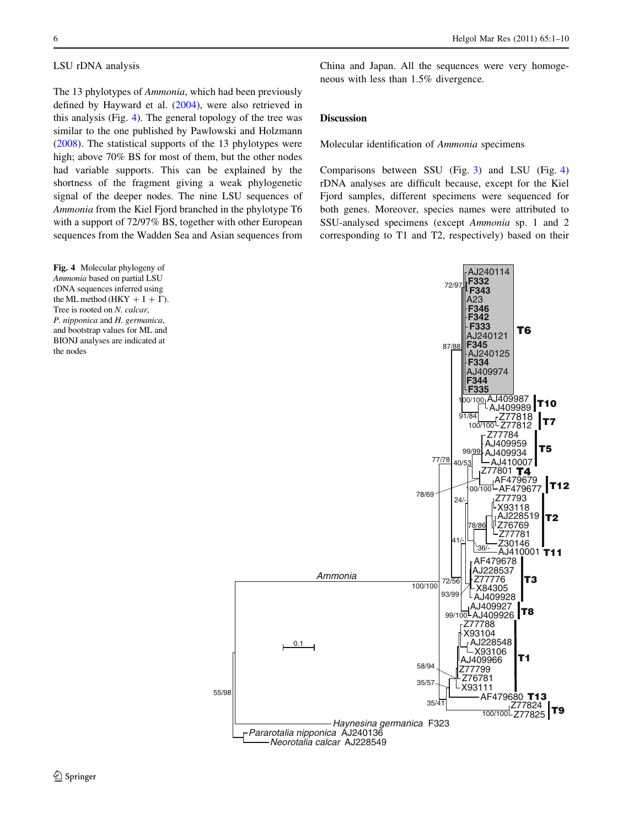#### <span id="page-5-0"></span>LSU rDNA analysis

The 13 phylotypes of Ammonia, which had been previously defined by Hayward et al. ([2004\)](#page-8-0), were also retrieved in this analysis (Fig. 4). The general topology of the tree was similar to the one published by Pawlowski and Holzmann [\(2008](#page-9-0)). The statistical supports of the 13 phylotypes were high; above 70% BS for most of them, but the other nodes had variable supports. This can be explained by the shortness of the fragment giving a weak phylogenetic signal of the deeper nodes. The nine LSU sequences of Ammonia from the Kiel Fjord branched in the phylotype T6 with a support of 72/97% BS, together with other European sequences from the Wadden Sea and Asian sequences from

Fig. 4 Molecular phylogeny of Ammonia based on partial LSU rDNA sequences inferred using the ML method (HKY  $+ I + \Gamma$ ). Tree is rooted on N. calcar, P. nipponica and H. germanica, and bootstrap values for ML and BIONJ analyses are indicated at the nodes

China and Japan. All the sequences were very homogeneous with less than 1.5% divergence.

## Discussion

Molecular identification of Ammonia specimens

Comparisons between SSU (Fig. [3](#page-4-0)) and LSU (Fig. 4) rDNA analyses are difficult because, except for the Kiel Fjord samples, different specimens were sequenced for both genes. Moreover, species names were attributed to SSU-analysed specimens (except Ammonia sp. 1 and 2 corresponding to T1 and T2, respectively) based on their

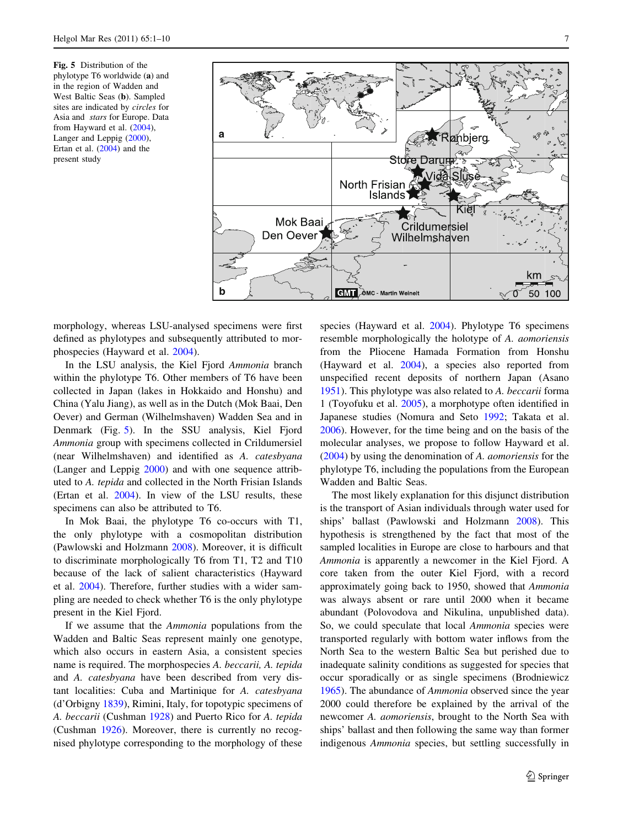<span id="page-6-0"></span>Fig. 5 Distribution of the phylotype T6 worldwide (a) and in the region of Wadden and West Baltic Seas (b). Sampled sites are indicated by circles for Asia and stars for Europe. Data from Hayward et al. [\(2004](#page-8-0)), Langer and Leppig ([2000\)](#page-8-0), Ertan et al. [\(2004](#page-8-0)) and the present study



morphology, whereas LSU-analysed specimens were first defined as phylotypes and subsequently attributed to morphospecies (Hayward et al. [2004](#page-8-0)).

In the LSU analysis, the Kiel Fjord Ammonia branch within the phylotype T6. Other members of T6 have been collected in Japan (lakes in Hokkaido and Honshu) and China (Yalu Jiang), as well as in the Dutch (Mok Baai, Den Oever) and German (Wilhelmshaven) Wadden Sea and in Denmark (Fig. 5). In the SSU analysis, Kiel Fjord Ammonia group with specimens collected in Crildumersiel (near Wilhelmshaven) and identified as A. catesbyana (Langer and Leppig [2000\)](#page-8-0) and with one sequence attributed to A. tepida and collected in the North Frisian Islands (Ertan et al. [2004](#page-8-0)). In view of the LSU results, these specimens can also be attributed to T6.

In Mok Baai, the phylotype T6 co-occurs with T1, the only phylotype with a cosmopolitan distribution (Pawlowski and Holzmann [2008](#page-9-0)). Moreover, it is difficult to discriminate morphologically T6 from T1, T2 and T10 because of the lack of salient characteristics (Hayward et al. [2004\)](#page-8-0). Therefore, further studies with a wider sampling are needed to check whether T6 is the only phylotype present in the Kiel Fjord.

If we assume that the Ammonia populations from the Wadden and Baltic Seas represent mainly one genotype, which also occurs in eastern Asia, a consistent species name is required. The morphospecies A. beccarii, A. tepida and A. catesbyana have been described from very distant localities: Cuba and Martinique for A. catesbyana (d'Orbigny [1839](#page-8-0)), Rimini, Italy, for topotypic specimens of A. beccarii (Cushman [1928\)](#page-8-0) and Puerto Rico for A. tepida (Cushman [1926](#page-8-0)). Moreover, there is currently no recognised phylotype corresponding to the morphology of these species (Hayward et al. [2004\)](#page-8-0). Phylotype T6 specimens resemble morphologically the holotype of A. aomoriensis from the Pliocene Hamada Formation from Honshu (Hayward et al. [2004\)](#page-8-0), a species also reported from unspecified recent deposits of northern Japan (Asano [1951](#page-8-0)). This phylotype was also related to A. beccarii forma 1 (Toyofuku et al. [2005\)](#page-9-0), a morphotype often identified in Japanese studies (Nomura and Seto [1992](#page-9-0); Takata et al. [2006](#page-9-0)). However, for the time being and on the basis of the molecular analyses, we propose to follow Hayward et al. [\(2004](#page-8-0)) by using the denomination of A. aomoriensis for the phylotype T6, including the populations from the European Wadden and Baltic Seas.

The most likely explanation for this disjunct distribution is the transport of Asian individuals through water used for ships' ballast (Pawlowski and Holzmann [2008\)](#page-9-0). This hypothesis is strengthened by the fact that most of the sampled localities in Europe are close to harbours and that Ammonia is apparently a newcomer in the Kiel Fjord. A core taken from the outer Kiel Fjord, with a record approximately going back to 1950, showed that Ammonia was always absent or rare until 2000 when it became abundant (Polovodova and Nikulina, unpublished data). So, we could speculate that local Ammonia species were transported regularly with bottom water inflows from the North Sea to the western Baltic Sea but perished due to inadequate salinity conditions as suggested for species that occur sporadically or as single specimens (Brodniewicz [1965](#page-8-0)). The abundance of Ammonia observed since the year 2000 could therefore be explained by the arrival of the newcomer A. aomoriensis, brought to the North Sea with ships' ballast and then following the same way than former indigenous Ammonia species, but settling successfully in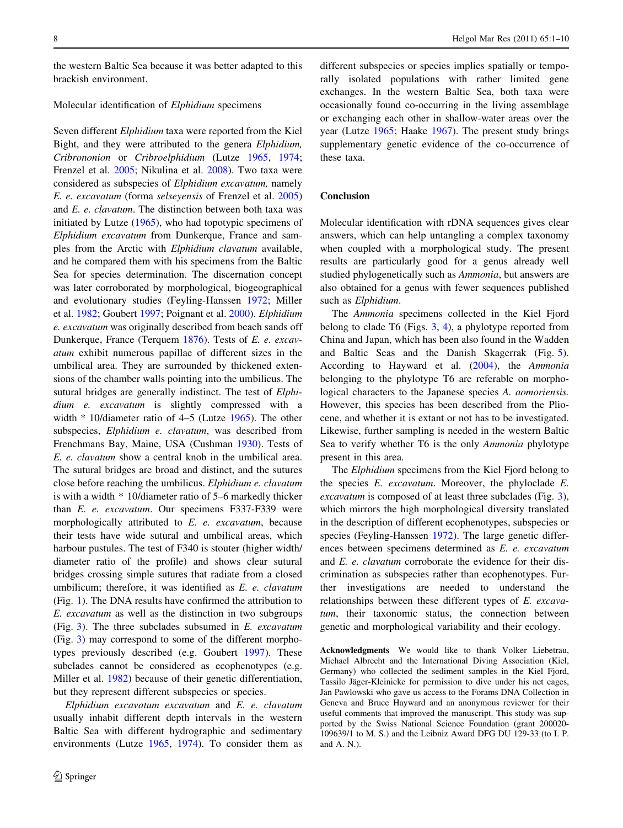the western Baltic Sea because it was better adapted to this brackish environment.

#### Molecular identification of Elphidium specimens

Seven different Elphidium taxa were reported from the Kiel Bight, and they were attributed to the genera Elphidium, Cribrononion or Cribroelphidium (Lutze [1965,](#page-8-0) [1974](#page-8-0); Frenzel et al. [2005;](#page-8-0) Nikulina et al. [2008](#page-9-0)). Two taxa were considered as subspecies of Elphidium excavatum, namely E. e. excavatum (forma selseyensis of Frenzel et al. [2005\)](#page-8-0) and E. e. clavatum. The distinction between both taxa was initiated by Lutze [\(1965](#page-8-0)), who had topotypic specimens of Elphidium excavatum from Dunkerque, France and samples from the Arctic with Elphidium clavatum available, and he compared them with his specimens from the Baltic Sea for species determination. The discernation concept was later corroborated by morphological, biogeographical and evolutionary studies (Feyling-Hanssen [1972;](#page-8-0) Miller et al. [1982](#page-8-0); Goubert [1997;](#page-8-0) Poignant et al. [2000](#page-9-0)). Elphidium e. excavatum was originally described from beach sands off Dunkerque, France (Terquem [1876\)](#page-9-0). Tests of E. e. excavatum exhibit numerous papillae of different sizes in the umbilical area. They are surrounded by thickened extensions of the chamber walls pointing into the umbilicus. The sutural bridges are generally indistinct. The test of *Elphi*dium e. excavatum is slightly compressed with a width \* 10/diameter ratio of 4–5 (Lutze [1965\)](#page-8-0). The other subspecies, Elphidium e. clavatum, was described from Frenchmans Bay, Maine, USA (Cushman [1930](#page-8-0)). Tests of E. e. clavatum show a central knob in the umbilical area. The sutural bridges are broad and distinct, and the sutures close before reaching the umbilicus. Elphidium e. clavatum is with a width \* 10/diameter ratio of 5–6 markedly thicker than E. e. excavatum. Our specimens F337-F339 were morphologically attributed to E. e. excavatum, because their tests have wide sutural and umbilical areas, which harbour pustules. The test of F340 is stouter (higher width/ diameter ratio of the profile) and shows clear sutural bridges crossing simple sutures that radiate from a closed umbilicum; therefore, it was identified as E. e. clavatum (Fig. [1](#page-2-0)). The DNA results have confirmed the attribution to E. excavatum as well as the distinction in two subgroups (Fig.  $3$ ). The three subclades subsumed in E. excavatum (Fig. [3](#page-4-0)) may correspond to some of the different morphotypes previously described (e.g. Goubert [1997](#page-8-0)). These subclades cannot be considered as ecophenotypes (e.g. Miller et al. [1982\)](#page-8-0) because of their genetic differentiation, but they represent different subspecies or species.

Elphidium excavatum excavatum and E. e. clavatum usually inhabit different depth intervals in the western Baltic Sea with different hydrographic and sedimentary environments (Lutze [1965,](#page-8-0) [1974](#page-8-0)). To consider them as different subspecies or species implies spatially or temporally isolated populations with rather limited gene exchanges. In the western Baltic Sea, both taxa were occasionally found co-occurring in the living assemblage or exchanging each other in shallow-water areas over the year (Lutze [1965;](#page-8-0) Haake [1967\)](#page-8-0). The present study brings supplementary genetic evidence of the co-occurrence of these taxa.

## Conclusion

Molecular identification with rDNA sequences gives clear answers, which can help untangling a complex taxonomy when coupled with a morphological study. The present results are particularly good for a genus already well studied phylogenetically such as Ammonia, but answers are also obtained for a genus with fewer sequences published such as Elphidium.

The Ammonia specimens collected in the Kiel Fjord belong to clade T6 (Figs. [3,](#page-4-0) [4](#page-5-0)), a phylotype reported from China and Japan, which has been also found in the Wadden and Baltic Seas and the Danish Skagerrak (Fig. [5](#page-6-0)). According to Hayward et al. [\(2004](#page-8-0)), the Ammonia belonging to the phylotype T6 are referable on morphological characters to the Japanese species A. aomoriensis. However, this species has been described from the Pliocene, and whether it is extant or not has to be investigated. Likewise, further sampling is needed in the western Baltic Sea to verify whether T6 is the only Ammonia phylotype present in this area.

The *Elphidium* specimens from the Kiel Fjord belong to the species E. excavatum. Moreover, the phyloclade E. excavatum is composed of at least three subclades (Fig. [3](#page-4-0)), which mirrors the high morphological diversity translated in the description of different ecophenotypes, subspecies or species (Feyling-Hanssen [1972](#page-8-0)). The large genetic differences between specimens determined as E. e. excavatum and E. e. clavatum corroborate the evidence for their discrimination as subspecies rather than ecophenotypes. Further investigations are needed to understand the relationships between these different types of E. excavatum, their taxonomic status, the connection between genetic and morphological variability and their ecology.

Acknowledgments We would like to thank Volker Liebetrau, Michael Albrecht and the International Diving Association (Kiel, Germany) who collected the sediment samples in the Kiel Fjord, Tassilo Jäger-Kleinicke for permission to dive under his net cages, Jan Pawlowski who gave us access to the Forams DNA Collection in Geneva and Bruce Hayward and an anonymous reviewer for their useful comments that improved the manuscript. This study was supported by the Swiss National Science Foundation (grant 200020- 109639/1 to M. S.) and the Leibniz Award DFG DU 129-33 (to I. P. and A. N.).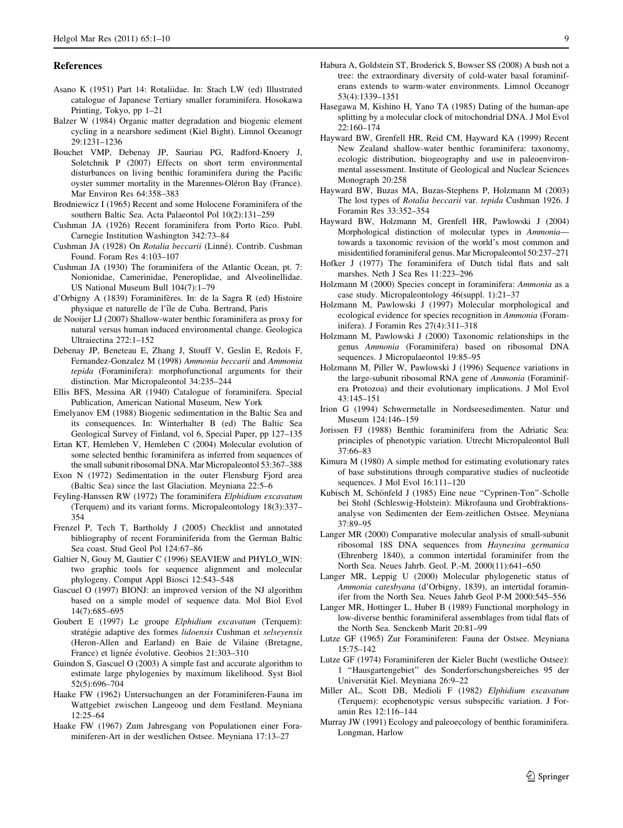#### <span id="page-8-0"></span>References

- Asano K (1951) Part 14: Rotaliidae. In: Stach LW (ed) Illustrated catalogue of Japanese Tertiary smaller foraminifera. Hosokawa Printing, Tokyo, pp 1–21
- Balzer W (1984) Organic matter degradation and biogenic element cycling in a nearshore sediment (Kiel Bight). Limnol Oceanogr 29:1231–1236
- Bouchet VMP, Debenay JP, Sauriau PG, Radford-Knoery J, Soletchnik P (2007) Effects on short term environmental disturbances on living benthic foraminifera during the Pacific oyster summer mortality in the Marennes-Oléron Bay (France). Mar Environ Res 64:358–383
- Brodniewicz I (1965) Recent and some Holocene Foraminifera of the southern Baltic Sea. Acta Palaeontol Pol 10(2):131–259
- Cushman JA (1926) Recent foraminifera from Porto Rico. Publ. Carnegie Institution Washington 342:73–84
- Cushman JA (1928) On Rotalia beccarii (Linné). Contrib. Cushman Found. Foram Res 4:103–107
- Cushman JA (1930) The foraminifera of the Atlantic Ocean, pt. 7: Nonionidae, Camerinidae, Peneroplidae, and Alveolinellidae. US National Museum Bull 104(7):1–79
- d'Orbigny A (1839) Foraminifères. In: de la Sagra R (ed) Histoire physique et naturelle de l'île de Cuba. Bertrand, Paris
- de Nooijer LJ (2007) Shallow-water benthic foraminifera as proxy for natural versus human induced environmental change. Geologica Ultraiectina 272:1–152
- Debenay JP, Beneteau E, Zhang J, Stouff V, Geslin E, Redois F, Fernandez-Gonzalez M (1998) Ammonia beccarii and Ammonia tepida (Foraminifera): morphofunctional arguments for their distinction. Mar Micropaleontol 34:235–244
- Ellis BFS, Messina AR (1940) Catalogue of foraminifera. Special Publication, American National Museum, New York
- Emelyanov EM (1988) Biogenic sedimentation in the Baltic Sea and its consequences. In: Winterhalter B (ed) The Baltic Sea Geological Survey of Finland, vol 6, Special Paper, pp 127–135
- Ertan KT, Hemleben V, Hemleben C (2004) Molecular evolution of some selected benthic foraminifera as inferred from sequences of the small subunit ribosomal DNA. Mar Micropaleontol 53:367–388
- Exon N (1972) Sedimentation in the outer Flensburg Fjord area (Baltic Sea) since the last Glaciation. Meyniana 22:5–6
- Feyling-Hanssen RW (1972) The foraminifera Elphidium excavatum (Terquem) and its variant forms. Micropaleontology 18(3):337– 354
- Frenzel P, Tech T, Bartholdy J (2005) Checklist and annotated bibliography of recent Foraminiferida from the German Baltic Sea coast. Stud Geol Pol 124:67–86
- Galtier N, Gouy M, Gautier C (1996) SEAVIEW and PHYLO\_WIN: two graphic tools for sequence alignment and molecular phylogeny. Comput Appl Biosci 12:543–548
- Gascuel O (1997) BIONJ: an improved version of the NJ algorithm based on a simple model of sequence data. Mol Biol Evol 14(7):685–695
- Goubert E (1997) Le groupe Elphidium excavatum (Terquem): stratégie adaptive des formes lidoensis Cushman et selseyensis (Heron-Allen and Earland) en Baie de Vilaine (Bretagne, France) et lignée évolutive. Geobios 21:303–310
- Guindon S, Gascuel O (2003) A simple fast and accurate algorithm to estimate large phylogenies by maximum likelihood. Syst Biol 52(5):696–704
- Haake FW (1962) Untersuchungen an der Foraminiferen-Fauna im Wattgebiet zwischen Langeoog und dem Festland. Meyniana 12:25–64
- Haake FW (1967) Zum Jahresgang von Populationen einer Foraminiferen-Art in der westlichen Ostsee. Meyniana 17:13–27
- Habura A, Goldstein ST, Broderick S, Bowser SS (2008) A bush not a tree: the extraordinary diversity of cold-water basal foraminiferans extends to warm-water environments. Limnol Oceanogr 53(4):1339–1351
- Hasegawa M, Kishino H, Yano TA (1985) Dating of the human-ape splitting by a molecular clock of mitochondrial DNA. J Mol Evol 22:160–174
- Hayward BW, Grenfell HR, Reid CM, Hayward KA (1999) Recent New Zealand shallow-water benthic foraminifera: taxonomy, ecologic distribution, biogeography and use in paleoenvironmental assessment. Institute of Geological and Nuclear Sciences Monograph 20:258
- Hayward BW, Buzas MA, Buzas-Stephens P, Holzmann M (2003) The lost types of Rotalia beccarii var. tepida Cushman 1926. J Foramin Res 33:352–354
- Hayward BW, Holzmann M, Grenfell HR, Pawlowski J (2004) Morphological distinction of molecular types in Ammonia towards a taxonomic revision of the world's most common and misidentified foraminiferal genus. Mar Micropaleontol 50:237–271
- Hofker J (1977) The foraminifera of Dutch tidal flats and salt marshes. Neth J Sea Res 11:223–296
- Holzmann M (2000) Species concept in foraminifera: Ammonia as a case study. Micropaleontology 46(suppl. 1):21–37
- Holzmann M, Pawlowski J (1997) Molecular morphological and ecological evidence for species recognition in Ammonia (Foraminifera). J Foramin Res 27(4):311–318
- Holzmann M, Pawlowski J (2000) Taxonomic relationships in the genus Ammonia (Foraminifera) based on ribosomal DNA sequences. J Micropalaeontol 19:85–95
- Holzmann M, Piller W, Pawlowski J (1996) Sequence variations in the large-subunit ribosomal RNA gene of Ammonia (Foraminifera Protozoa) and their evolutionary implications. J Mol Evol 43:145–151
- Irion G (1994) Schwermetalle in Nordseesedimenten. Natur und Museum 124:146–159
- Jorissen FJ (1988) Benthic foraminifera from the Adriatic Sea: principles of phenotypic variation. Utrecht Micropaleontol Bull 37:66–83
- Kimura M (1980) A simple method for estimating evolutionary rates of base substitutions through comparative studies of nucleotide sequences. J Mol Evol 16:111–120
- Kubisch M, Schönfeld J (1985) Eine neue "Cyprinen-Ton"-Scholle bei Stohl (Schleswig-Holstein): Mikrofauna und Grobfraktionsanalyse von Sedimenten der Eem-zeitlichen Ostsee. Meyniana 37:89–95
- Langer MR (2000) Comparative molecular analysis of small-subunit ribosomal 18S DNA sequences from Haynesina germanica (Ehrenberg 1840), a common intertidal foraminifer from the North Sea. Neues Jahrb. Geol. P.-M. 2000(11):641–650
- Langer MR, Leppig U (2000) Molecular phylogenetic status of Ammonia catesbyana (d'Orbigny, 1839), an intertidal foraminifer from the North Sea. Neues Jahrb Geol P-M 2000:545–556
- Langer MR, Hottinger L, Huber B (1989) Functional morphology in low-diverse benthic foraminiferal assemblages from tidal flats of the North Sea. Senckenb Marit 20:81–99
- Lutze GF (1965) Zur Foraminiferen: Fauna der Ostsee. Meyniana 15:75–142
- Lutze GF (1974) Foraminiferen der Kieler Bucht (westliche Ostsee): 1 ''Hausgartengebiet'' des Sonderforschungsbereiches 95 der Universität Kiel. Meyniana 26:9-22
- Miller AL, Scott DB, Medioli F (1982) Elphidium excavatum (Terquem): ecophenotypic versus subspecific variation. J Foramin Res 12:116–144
- Murray JW (1991) Ecology and paleoecology of benthic foraminifera. Longman, Harlow